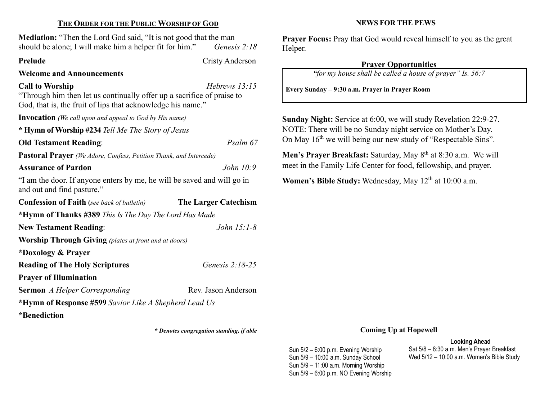# THE ORDER FOR THE PUBLIC WORSHIP OF GOD

| <b>Mediation:</b> "Then the Lord God said, "It is not good that the man<br>should be alone; I will make him a helper fit for him."<br>Genesis 2:18              |                             |
|-----------------------------------------------------------------------------------------------------------------------------------------------------------------|-----------------------------|
| Prelude                                                                                                                                                         | <b>Cristy Anderson</b>      |
| <b>Welcome and Announcements</b>                                                                                                                                |                             |
| <b>Call to Worship</b><br>"Through him then let us continually offer up a sacrifice of praise to<br>God, that is, the fruit of lips that acknowledge his name." | Hebrews $13:15$             |
| <b>Invocation</b> (We call upon and appeal to God by His name)                                                                                                  |                             |
| * Hymn of Worship #234 Tell Me The Story of Jesus                                                                                                               |                             |
| <b>Old Testament Reading:</b>                                                                                                                                   | Psalm 67                    |
| Pastoral Prayer (We Adore, Confess, Petition Thank, and Intercede)                                                                                              |                             |
| <b>Assurance of Pardon</b>                                                                                                                                      | John 10:9                   |
| "I am the door. If anyone enters by me, he will be saved and will go in<br>and out and find pasture."                                                           |                             |
| <b>Confession of Faith</b> (see back of bulletin)                                                                                                               | <b>The Larger Catechism</b> |
| *Hymn of Thanks #389 This Is The Day The Lord Has Made                                                                                                          |                             |
| <b>New Testament Reading:</b>                                                                                                                                   | John 15:1-8                 |
| Worship Through Giving (plates at front and at doors)                                                                                                           |                             |
| *Doxology & Prayer                                                                                                                                              |                             |
| <b>Reading of The Holy Scriptures</b>                                                                                                                           | Genesis 2:18-25             |
| <b>Prayer of Illumination</b>                                                                                                                                   |                             |
| <b>Sermon</b> A Helper Corresponding                                                                                                                            | Rev. Jason Anderson         |
| *Hymn of Response #599 Savior Like A Shepherd Lead Us                                                                                                           |                             |
| *Benediction                                                                                                                                                    |                             |

\* Denotes congregation standing, if able

## NEWS FOR THE PEWS

Prayer Focus: Pray that God would reveal himself to you as the great Helper.

# Prayer Opportunities

"for my house shall be called a house of prayer" Is. 56:7

Every Sunday – 9:30 a.m. Prayer in Prayer Room

Sunday Night: Service at 6:00, we will study Revelation 22:9-27. NOTE: There will be no Sunday night service on Mother's Day. On May  $16<sup>th</sup>$  we will being our new study of "Respectable Sins".

Men's Prayer Breakfast: Saturday, May  $8<sup>th</sup>$  at 8:30 a.m. We will meet in the Family Life Center for food, fellowship, and prayer.

Women's Bible Study: Wednesday, May 12<sup>th</sup> at 10:00 a.m.

# Coming Up at Hopewell

## Looking Ahead

Sun 5/2 – 6:00 p.m. Evening Worship Sun 5/9 – 10:00 a.m. Sunday School Sun 5/9 – 11:00 a.m. Morning Worship Sun 5/9 – 6:00 p.m. NO Evening Worship Sat 5/8 – 8:30 a.m. Men's Prayer Breakfast Wed 5/12 – 10:00 a.m. Women's Bible Study